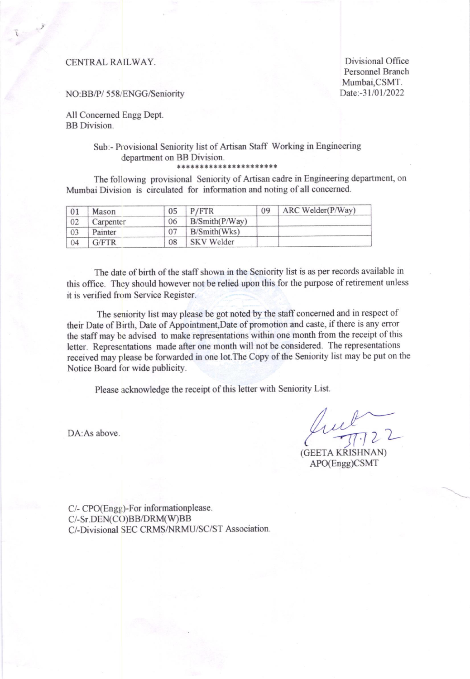i

CENTRAL RAILWAY. Divisional Office Personnel Branch Mumbai,CSMT.<br>Date:-31/01/2022

#### NO:BB/P/ 558/ENGG/Seniority

All Concerned Engg Dept. BB Division.

### Sub:- Provisional Seniority list of Artisan Staff Working in Engineering department on BB Division.

aat\*a tal\* \* \* \* at\*r\* \* \* \* \* \*

The following provisional Seniority of Artisan cadre in Engineering department, on Mumbai Division is circulated for information and noting of all concerned.

| 01 | Mason     | 05 | P/FTR             | 09 | ARC Welder(P/Way) |  |  |
|----|-----------|----|-------------------|----|-------------------|--|--|
| 02 | Carpenter | 06 | B/Smith(P/Way)    |    |                   |  |  |
| 03 | Painter   |    | B/Smith(Wks)      |    |                   |  |  |
| 04 | G/FTR     | 08 | <b>SKV</b> Welder |    |                   |  |  |

The date of birth of the staff shown in the Seniority list is as per records available in this office. They should however not be relied upon this for the purpose of retirement unless it is verified from Service Register.

The seniority list may please be got noted by the staff concemed and in respect of their Date of Birth, Date of Appointment, Date of promotion and caste, if there is any error the staff may be advised to make representations within one month from the receipt of this letter. Representations made after one month will not be considered. The representations received may please be forwarded in one lot. The Copy of the Seniority list may be put on the Notice Board for wide publicity.

Please acknowledge the receipt of this letter with Seniority List.

 $\frac{2}{31122}$ 

(GEETA KRISHNAN) APO(Engg)CSMT

DA: As above.

C/. CPO(Engg)-For informationplease. C/- Sr. DEN(C{))BB/DRM(W)BB C/-Divisional SEC CRMS/NRMU/SC/ST Association.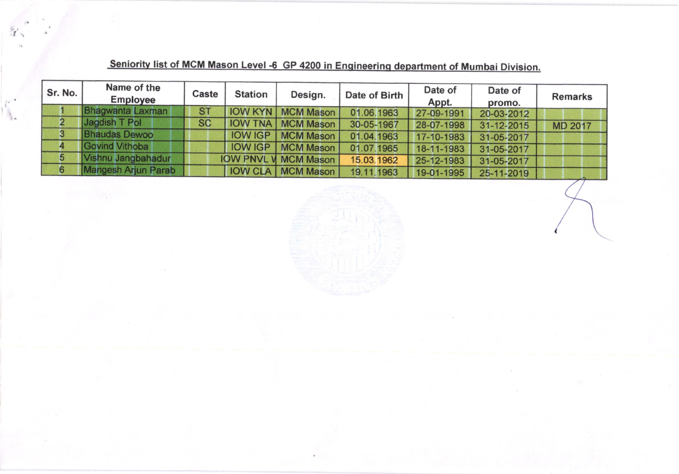| Sr. No. | Name of the<br><b>Employee</b> | Caste     | <b>Station</b> | Design.                      | Date of Birth | Date of<br>Appt. | Date of<br>promo. | <b>Remarks</b> |
|---------|--------------------------------|-----------|----------------|------------------------------|---------------|------------------|-------------------|----------------|
|         | Bhagwanta Laxman               | <b>ST</b> |                | <b>IOW KYN   MCM Mason  </b> | 01.06.1963    | 27-09-1991       | 20-03-2012        |                |
|         | Jagdish T Pol                  | <b>SC</b> |                | <b>IOW TNA   MCM Mason  </b> | 30-05-1967    | 28-07-1998       | 31-12-2015        | <b>MD 2017</b> |
| 3.      | <b>Bhaudas Dewoo</b>           |           |                | <b>IOW IGP   MCM Mason /</b> | 01.04.1963    | 17-10-1983       | 31-05-2017        |                |
|         | Govind Vithoba                 |           |                | <b>IOW IGP   MCM Mason  </b> | 01.07.1965    | 18-11-1983       | 31-05-2017        |                |
| 5       | Vishnu Jangbahadur             |           |                | <b>IOW PNVL V MCM Mason</b>  | 15.03.1962    | 25-12-1983       | 31-05-2017        |                |
| 6       | Mangesh Arjun Parab            |           |                | <b>IOW CLA   MCM Mason  </b> | 19.11.1963    | 19-01-1995       | 25-11-2019        |                |

# Seniority list of MCM Mason Level -6 GP 4200 in Engineering department of Mumbai Division.